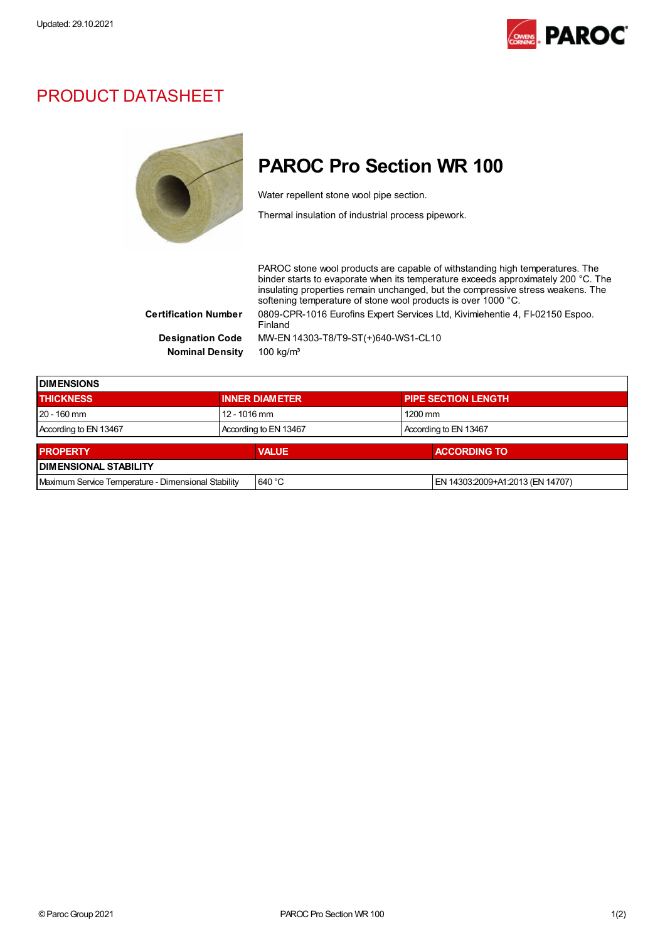

## PRODUCT DATASHEET



## PAROC Pro Section WR 100

Water repellent stone wool pipe section.

Thermal insulation of industrial process pipework.

PAROC stone wool products are capable of withstanding high temperatures. The binder starts to evaporate when its temperature exceeds approximately 200 °C. The insulating properties remain unchanged, but the compressive stress weakens. The softening temperature of stone wool products is over 1000 °C. Certification Number 0809-CPR-1016 Eurofins Expert Services Ltd, Kivimiehentie 4, FI-02150 Espoo. Finland Designation Code MW-EN 14303-T8/T9-ST(+)640-WS1-CL10 Nominal Density 100 kg/m<sup>3</sup>

**DIMENSIONS** THICKNESS **INNER DIAMETER** PIPE SECTION LENGTH 20 - 160 mm 12 - 1016 mm 1200 mm According to EN 13467 According to EN 13467 According to EN 13467 **PROPERTY ACCORDING TO ACCORDING TO ACCORDING TO ACCORDING TO ACCORDING TO** DIMENSIONAL STABILITY Maximum Service Temperature - Dimensional Stability 640 °C EN 14303:2009+A1:2013 (EN 14707)